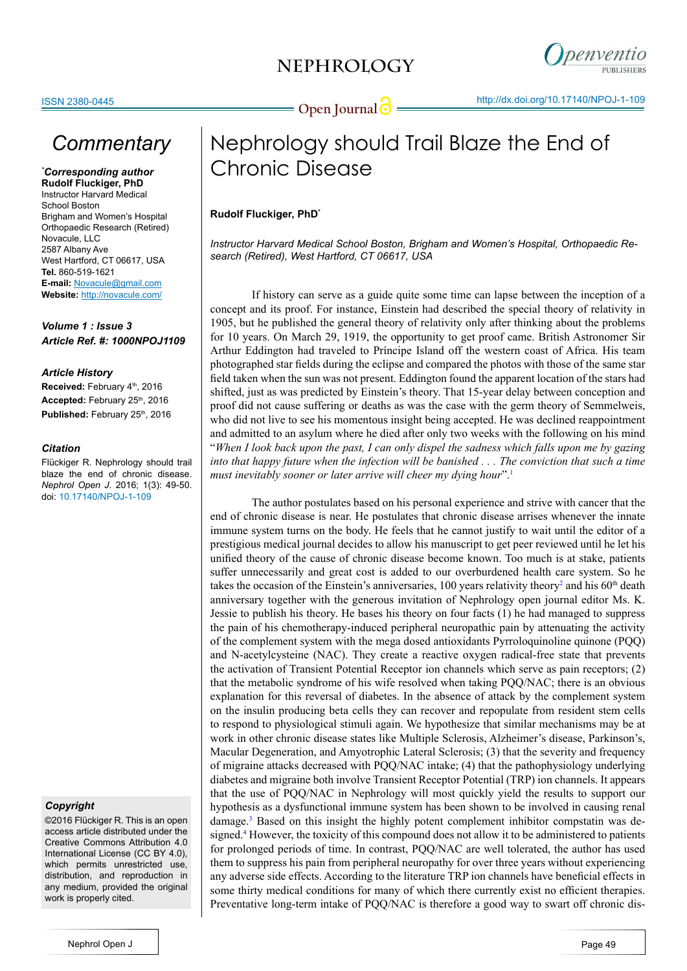

## *Commentary*

### *\* Corresponding author* **Rudolf Fluckiger, PhD**

Instructor Harvard Medical School Boston Brigham and Women's Hospital Orthopaedic Research (Retired) Novacule, LLC 2587 Albany Ave West Hartford, CT 06617, USA **Tel.** 860-519-1621 **E-mail:** Novacule@gmail.com **Website:** <http://novacule.com/>

*Volume 1 : Issue 3 Article Ref. #: 1000NPOJ1109*

### *Article History*

**Received:** February 4th, 2016 Accepted: February 25<sup>th</sup>, 2016 Published: February 25<sup>th</sup>, 2016

### *Citation*

Flückiger R. Nephrology should trail blaze the end of chronic disease. *Nephrol Open J*. 2016; 1(3): 49-50. doi: [10.17140/NPOJ-1-109](http://openventio.org/Volume1_Issue3/Nephrology_should_Trail_Blaze_the_End_of_Chronic_Disease_NPOJ_1_109.pdf)

### *Copyright*

©2016 Flückiger R. This is an open access article distributed under the Creative Commons Attribution 4.0 International License (CC BY 4.0), which permits unrestricted use, distribution, and reproduction in any medium, provided the original work is properly cited.

# Nephrology should Trail Blaze the End of Chronic Disease

### **Rudolf Fluckiger, PhD\***

*Instructor Harvard Medical School Boston, Brigham and Women's Hospital, Orthopaedic Research (Retired), West Hartford, CT 06617, USA*

If history can serve as a guide quite some time can lapse between the inception of a concept and its proof. For instance, Einstein had described the [special theory of relativity](http://www.pbs.org/wgbh/aso/databank/entries/dp05ei.html) in 1905, but he published the general theory of relativity only after thinking about the problems for 10 years. On March 29, 1919, the opportunity to get proof came. British Astronomer Sir Arthur Eddington had traveled to Príncipe Island off the western coast of Africa. His team photographed star fields during the eclipse and compared the photos with those of the same star field taken when the sun was not present. Eddington found the apparent location of the stars had shifted, just as was predicted by Einstein's theory. That 15-year delay between conception and proof did not cause suffering or deaths as was the case with the germ theory of Semmelweis, who did not live to see his momentous insight being accepted. He was declined reappointment and admitted to an asylum where he died after only two weeks with the following on his mind "*When I look back upon the past, I can only dispel the sadness which falls upon me by gazing into that happy future when the infection will be banished . . . The conviction that such a time must inevitably sooner or later arrive will cheer my dying hour*".[1](#page-1-0)

The author postulates based on his personal experience and strive with cancer that the end of chronic disease is near. He postulates that chronic disease arrises whenever the innate immune system turns on the body. He feels that he cannot justify to wait until the editor of a prestigious medical journal decides to allow his manuscript to get peer reviewed until he let his unified theory of the cause of chronic disease become known. Too much is at stake, patients suffer unnecessarily and great cost is added to our overburdened health care system. So he takes the occasion of the Einstein's anniversaries, 100 years relativity theory<sup>2</sup> and his  $60<sup>th</sup>$  death anniversary together with the generous invitation of Nephrology open journal editor Ms. K. Jessie to publish his theory. He bases his theory on four facts (1) he had managed to suppress the pain of his chemotherapy-induced peripheral neuropathic pain by attenuating the activity of the complement system with the mega dosed antioxidants Pyrroloquinoline quinone (PQQ) and N-acetylcysteine (NAC). They create a reactive oxygen radical-free state that prevents the activation of Transient Potential Receptor ion channels which serve as pain receptors; (2) that the metabolic syndrome of his wife resolved when taking PQQ/NAC; there is an obvious explanation for this reversal of diabetes. In the absence of attack by the complement system on the insulin producing beta cells they can recover and repopulate from resident stem cells to respond to physiological stimuli again. We hypothesize that similar mechanisms may be at work in other chronic disease states like Multiple Sclerosis, Alzheimer's disease, Parkinson's, Macular Degeneration, and Amyotrophic Lateral Sclerosis; (3) that the severity and frequency of migraine attacks decreased with PQQ/NAC intake; (4) that the pathophysiology underlying diabetes and migraine both involve Transient Receptor Potential (TRP) ion channels. It appears that the use of PQQ/NAC in Nephrology will most quickly yield the results to support our hypothesis as a dysfunctional immune system has been shown to be involved in causing renal damage.<sup>[3](#page-1-2)</sup> Based on this insight the highly potent complement inhibitor compstatin was designed.[4](#page-1-3) However, the toxicity of this compound does not allow it to be administered to patients for prolonged periods of time. In contrast, PQQ/NAC are well tolerated, the author has used them to suppress his pain from peripheral neuropathy for over three years without experiencing any adverse side effects. According to the literature TRP ion channels have beneficial effects in some thirty medical conditions for many of which there currently exist no efficient therapies. Preventative long-term intake of PQQ/NAC is therefore a good way to swart off chronic dis-